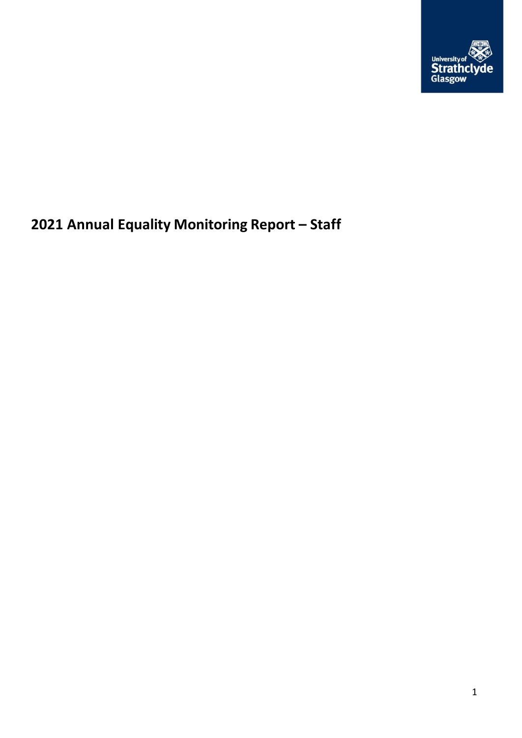

# **Annual Equality Monitoring Report – Staff**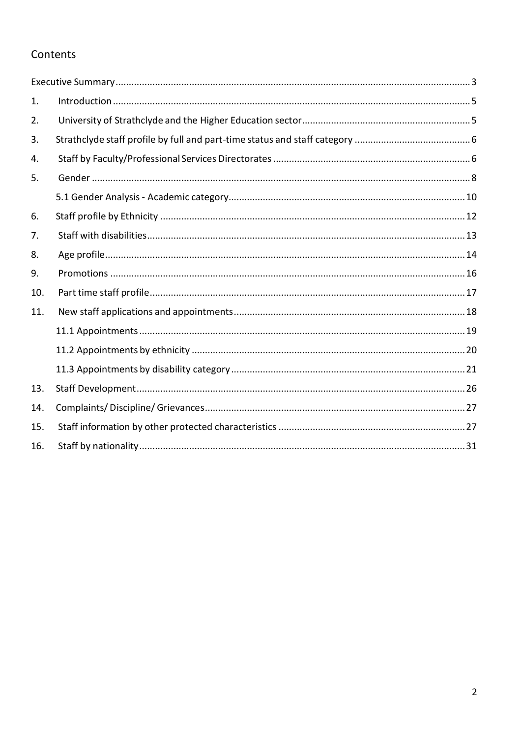# Contents

| 1.  |  |
|-----|--|
| 2.  |  |
| 3.  |  |
| 4.  |  |
| 5.  |  |
|     |  |
| 6.  |  |
| 7.  |  |
| 8.  |  |
| 9.  |  |
| 10. |  |
| 11. |  |
|     |  |
|     |  |
|     |  |
| 13. |  |
| 14. |  |
| 15. |  |
| 16. |  |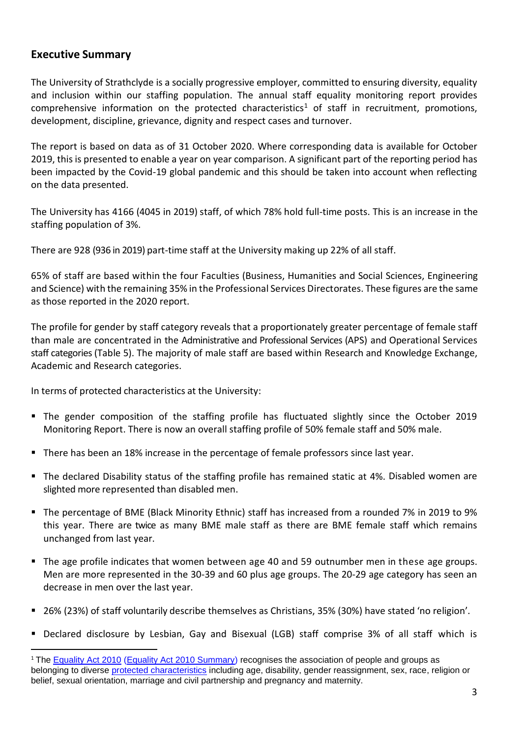### <span id="page-2-0"></span>**Executive Summary**

The University of Strathclyde is a socially progressive employer, committed to ensuring diversity, equality and inclusion within our staffing population. The annual staff equality monitoring report provides comprehensive information on the protected characteristics<sup>1</sup> of staff in recruitment, promotions, development, discipline, grievance, dignity and respect cases and turnover.

The report is based on data as of 31 October 2020. Where corresponding data is available for October 2019, this is presented to enable a year on year comparison. A significant part of the reporting period has been impacted by the Covid-19 global pandemic and this should be taken into account when reflecting on the data presented.

The University has 4166 (4045 in 2019) staff, of which 78% hold full-time posts. This is an increase in the staffing population of 3%.

There are 928 (936 in 2019) part-time staff at the University making up 22% of all staff.

65% of staff are based within the four Faculties (Business, Humanities and Social Sciences, Engineering and Science) with the remaining 35% in the Professional Services Directorates. These figures are the same as those reported in the 2020 report.

The profile for gender by staff category reveals that a proportionately greater percentage of female staff than male are concentrated in the Administrative and Professional Services (APS) and Operational Services staff categories (Table 5). The majority of male staff are based within Research and Knowledge Exchange, Academic and Research categories.

In terms of protected characteristics at the University:

- The gender composition of the staffing profile has fluctuated slightly since the October 2019 Monitoring Report. There is now an overall staffing profile of 50% female staff and 50% male.
- There has been an 18% increase in the percentage of female professors since last year.
- The declared Disability status of the staffing profile has remained static at 4%. Disabled women are slighted more represented than disabled men.
- The percentage of BME (Black Minority Ethnic) staff has increased from a rounded 7% in 2019 to 9% this year. There are twice as many BME male staff as there are BME female staff which remains unchanged from last year.
- The age profile indicates that women between age 40 and 59 outnumber men in these age groups. Men are more represented in the 30-39 and 60 plus age groups. The 20-29 age category has seen an decrease in men over the last year.
- 26% (23%) of staff voluntarily describe themselves as Christians, 35% (30%) have stated 'no religion'.
- Declared disclosure by Lesbian, Gay and Bisexual (LGB) staff comprise 3% of all staff which is

<sup>&</sup>lt;sup>1</sup> The **[Equality Act 2010](http://www.legislation.gov.uk/ukpga/2010/15/contents) [\(Equality Act 2010 Summary\)](http://www.strath.ac.uk/media/ps/sees/equality/Equality_Act_2010_updated_summary_web_May_2014-2016.pdf)** recognises the association of people and groups as belonging to diverse [protected characteristics](http://www.equalityhumanrights.com/private-and-public-sector-guidance/guidance-all/protected-characteristics) including age, disability, gender reassignment, sex, race, religion or belief, sexual orientation, marriage and civil partnership and pregnancy and maternity.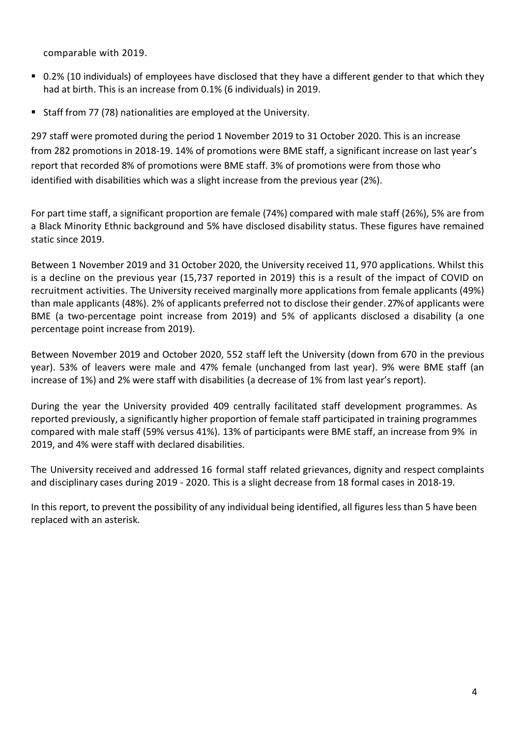comparable with 2019.

- 0.2% (10 individuals) of employees have disclosed that they have a different gender to that which they had at birth. This is an increase from 0.1% (6 individuals) in 2019.
- Staff from 77 (78) nationalities are employed at the University.

297 staff were promoted during the period 1 November 2019 to 31 October 2020. This is an increase from 282 promotions in 2018-19. 14% of promotions were BME staff, a significant increase on last year's report that recorded 8% of promotions were BME staff. 3% of promotions were from those who identified with disabilities which was a slight increase from the previous year (2%).

For part time staff, a significant proportion are female (74%) compared with male staff (26%), 5% are from a Black Minority Ethnic background and 5% have disclosed disability status. These figures have remained static since 2019.

Between 1 November 2019 and 31 October 2020, the University received 11, 970 applications. Whilst this is a decline on the previous year (15,737 reported in 2019) this is a result of the impact of COVID on recruitment activities. The University received marginally more applications from female applicants (49%) than male applicants (48%). 2% of applicants preferred not to disclose their gender. 27% of applicants were BME (a two-percentage point increase from 2019) and 5% of applicants disclosed a disability (a one percentage point increase from 2019).

Between November 2019 and October 2020, 552 staff left the University (down from 670 in the previous year). 53% of leavers were male and 47% female (unchanged from last year). 9% were BME staff (an increase of 1%) and 2% were staff with disabilities (a decrease of 1% from last year's report).

During the year the University provided 409 centrally facilitated staff development programmes. As reported previously, a significantly higher proportion of female staff participated in training programmes compared with male staff (59% versus 41%). 13% of participants were BME staff, an increase from 9% in 2019, and 4% were staff with declared disabilities.

The University received and addressed 16 formal staff related grievances, dignity and respect complaints and disciplinary cases during 2019 - 2020. This is a slight decrease from 18 formal cases in 2018-19.

In this report, to prevent the possibility of any individual being identified, all figures less than 5 have been replaced with an asterisk.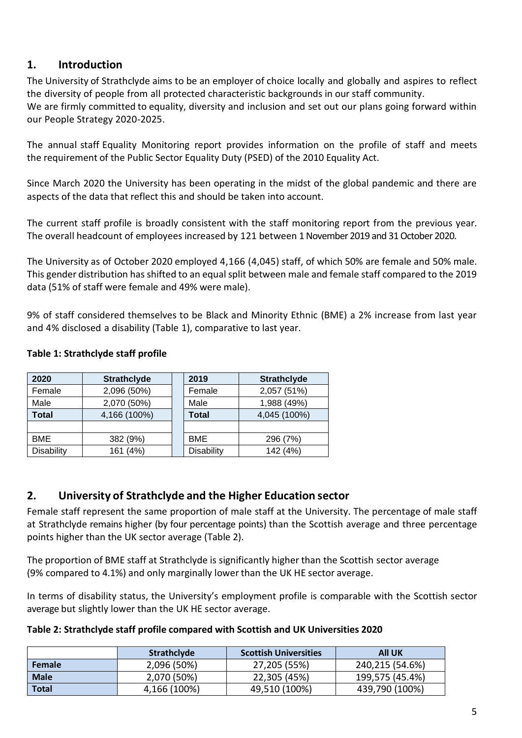# <span id="page-4-0"></span>**1. Introduction**

The University of Strathclyde aims to be an employer of choice locally and globally and aspires to reflect the diversity of people from all protected characteristic backgrounds in our staff community. We are firmly committed to equality, diversity and inclusion and set out our plans going forward within our People Strategy 2020-2025.

The annual staff Equality Monitoring report provides information on the profile of staff and meets the requirement of the Public Sector Equality Duty (PSED) of the 2010 Equality Act.

Since March 2020 the University has been operating in the midst of the global pandemic and there are aspects of the data that reflect this and should be taken into account.

The current staff profile is broadly consistent with the staff monitoring report from the previous year. The overall headcount of employees increased by 121 between 1 November 2019 and 31 October 2020.

The University as of October 2020 employed 4,166 (4,045) staff, of which 50% are female and 50% male. This gender distribution has shifted to an equal split between male and female staff compared to the 2019 data (51% of staff were female and 49% were male).

9% of staff considered themselves to be Black and Minority Ethnic (BME) a 2% increase from last year and 4% disclosed a disability (Table 1), comparative to last year.

### **Table 1: Strathclyde staff profile**

| 2020              | <b>Strathclyde</b> | 2019              | <b>Strathclyde</b> |  |
|-------------------|--------------------|-------------------|--------------------|--|
| Female            | 2,096 (50%)        | Female            | 2,057 (51%)        |  |
| Male              | 2,070 (50%)        | Male              | 1,988 (49%)        |  |
| <b>Total</b>      | 4,166 (100%)       | <b>Total</b>      | 4,045 (100%)       |  |
|                   |                    |                   |                    |  |
| <b>BME</b>        | 382 (9%)           | <b>BME</b>        | 296 (7%)           |  |
| <b>Disability</b> | 161 (4%)           | <b>Disability</b> | 142 (4%)           |  |

# <span id="page-4-1"></span>**2. University of Strathclyde and the Higher Education sector**

Female staff represent the same proportion of male staff at the University. The percentage of male staff at Strathclyde remains higher (by four percentage points) than the Scottish average and three percentage points higher than the UK sector average (Table 2).

The proportion of BME staff at Strathclyde is significantly higher than the Scottish sector average (9% compared to 4.1%) and only marginally lower than the UK HE sector average.

In terms of disability status, the University's employment profile is comparable with the Scottish sector average but slightly lower than the UK HE sector average.

### **Table 2: Strathclyde staff profile compared with Scottish and UK Universities 2020**

|             | Strathclyde  | <b>Scottish Universities</b> | <b>All UK</b>   |
|-------------|--------------|------------------------------|-----------------|
| Female      | 2,096 (50%)  | 27,205 (55%)                 | 240,215 (54.6%) |
| <b>Male</b> | 2,070 (50%)  | 22,305 (45%)                 | 199,575 (45.4%) |
| Total       | 4,166 (100%) | 49,510 (100%)                | 439,790 (100%)  |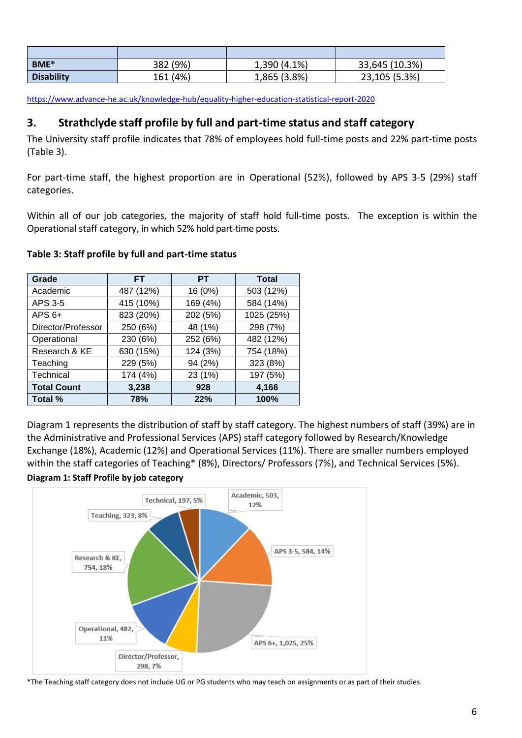| BME*              | 382 (9%) | 1,390 (4.1%) | 33,645 (10.3%) |
|-------------------|----------|--------------|----------------|
| <b>Disability</b> | 161 (4%) | 1,865 (3.8%) | 23,105 (5.3%)  |

<https://www.advance-he.ac.uk/knowledge-hub/equality-higher-education-statistical-report-2020>

### <span id="page-5-0"></span>**3. Strathclyde staff profile by full and part-time status and staff category**

The University staff profile indicates that 78% of employees hold full-time posts and 22% part-time posts (Table 3).

For part-time staff, the highest proportion are in Operational (52%), followed by APS 3-5 (29%) staff categories.

Within all of our job categories, the majority of staff hold full-time posts. The exception is within the Operational staff category, in which 52% hold part-time posts.

| Grade              | FT.       | PТ       | <b>Total</b> |
|--------------------|-----------|----------|--------------|
| Academic           | 487 (12%) | 16 (0%)  | 503 (12%)    |
| APS 3-5            | 415 (10%) | 169 (4%) | 584 (14%)    |
| $APS 6+$           | 823 (20%) | 202 (5%) | 1025 (25%)   |
| Director/Professor | 250 (6%)  | 48 (1%)  | 298 (7%)     |
| Operational        | 230 (6%)  | 252 (6%) | 482 (12%)    |
| Research & KE      | 630 (15%) | 124 (3%) | 754 (18%)    |
| Teaching           | 229 (5%)  | 94 (2%)  | 323 (8%)     |
| Technical          | 174 (4%)  | 23 (1%)  | 197 (5%)     |
| <b>Total Count</b> | 3,238     | 928      | 4,166        |
| Total %            | 78%       | 22%      | 100%         |

#### **Table 3: Staff profile by full and part-time status**

Diagram 1 represents the distribution of staff by staff category. The highest numbers of staff (39%) are in the Administrative and Professional Services (APS) staff category followed by Research/Knowledge Exchange (18%), Academic (12%) and Operational Services (11%). There are smaller numbers employed within the staff categories of Teaching\* (8%), Directors/ Professors (7%), and Technical Services (5%).



<span id="page-5-1"></span>

<sup>\*</sup>The Teaching staff category does not include UG or PG students who may teach on assignments or as part of their studies.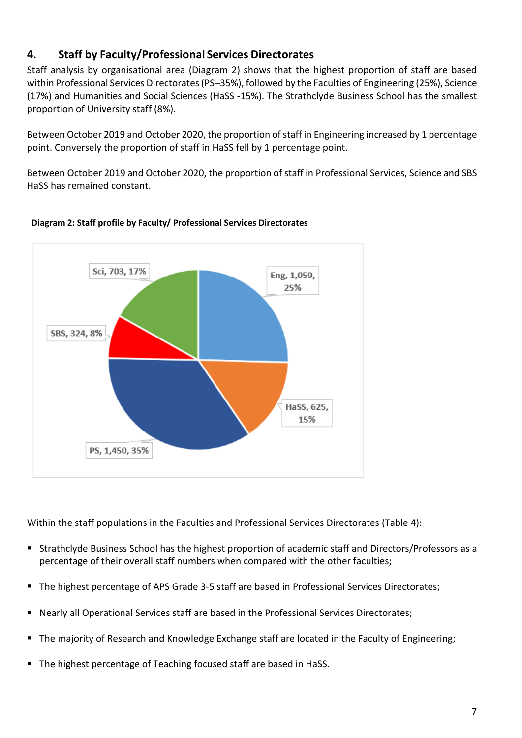# **4. Staff by Faculty/Professional Services Directorates**

Staff analysis by organisational area (Diagram 2) shows that the highest proportion of staff are based within Professional Services Directorates (PS–35%), followed by the Faculties of Engineering (25%), Science (17%) and Humanities and Social Sciences (HaSS -15%). The Strathclyde Business School has the smallest proportion of University staff (8%).

Between October 2019 and October 2020, the proportion of staff in Engineering increased by 1 percentage point. Conversely the proportion of staff in HaSS fell by 1 percentage point.

Between October 2019 and October 2020, the proportion of staff in Professional Services, Science and SBS HaSS has remained constant.



### **Diagram 2: Staff profile by Faculty/ Professional Services Directorates**

Within the staff populations in the Faculties and Professional Services Directorates (Table 4):

- Strathclyde Business School has the highest proportion of academic staff and Directors/Professors as a percentage of their overall staff numbers when compared with the other faculties;
- The highest percentage of APS Grade 3-5 staff are based in Professional Services Directorates;
- Nearly all Operational Services staff are based in the Professional Services Directorates;
- The majority of Research and Knowledge Exchange staff are located in the Faculty of Engineering;
- The highest percentage of Teaching focused staff are based in HaSS.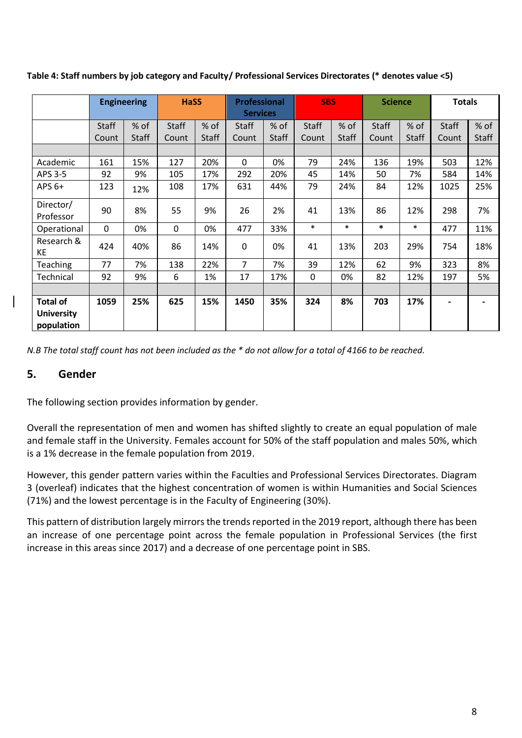|                                                    | <b>Engineering</b> |              | <b>HaSS</b>  |              |              | <b>Professional</b><br><b>Services</b> |              | <b>SBS</b> |              | <b>Science</b> | <b>Totals</b> |              |
|----------------------------------------------------|--------------------|--------------|--------------|--------------|--------------|----------------------------------------|--------------|------------|--------------|----------------|---------------|--------------|
|                                                    | <b>Staff</b>       | % of         | <b>Staff</b> | % of         | <b>Staff</b> | % of                                   | <b>Staff</b> | % of       | <b>Staff</b> | $%$ of         | <b>Staff</b>  | % of         |
|                                                    | Count              | <b>Staff</b> | Count        | <b>Staff</b> | Count        | Staff                                  | Count        | Staff      | Count        | <b>Staff</b>   | Count         | <b>Staff</b> |
|                                                    |                    |              |              |              |              |                                        |              |            |              |                |               |              |
| Academic                                           | 161                | 15%          | 127          | 20%          | 0            | 0%                                     | 79           | 24%        | 136          | 19%            | 503           | 12%          |
| APS 3-5                                            | 92                 | 9%           | 105          | 17%          | 292          | 20%                                    | 45           | 14%        | 50           | 7%             | 584           | 14%          |
| APS $6+$                                           | 123                | 12%          | 108          | 17%          | 631          | 44%                                    | 79           | 24%        | 84           | 12%            | 1025          | 25%          |
| Director/<br>Professor                             | 90                 | 8%           | 55           | 9%           | 26           | 2%                                     | 41           | 13%        | 86           | 12%            | 298           | 7%           |
| Operational                                        | 0                  | 0%           | 0            | 0%           | 477          | 33%                                    | $\ast$       | $\ast$     | *            | $\ast$         | 477           | 11%          |
| Research &<br>KE                                   | 424                | 40%          | 86           | 14%          | 0            | 0%                                     | 41           | 13%        | 203          | 29%            | 754           | 18%          |
| Teaching                                           | 77                 | 7%           | 138          | 22%          | 7            | 7%                                     | 39           | 12%        | 62           | 9%             | 323           | 8%           |
| Technical                                          | 92                 | 9%           | 6            | 1%           | 17           | 17%                                    | $\mathbf 0$  | 0%         | 82           | 12%            | 197           | 5%           |
|                                                    |                    |              |              |              |              |                                        |              |            |              |                |               |              |
| <b>Total of</b><br><b>University</b><br>population | 1059               | 25%          | 625          | 15%          | 1450         | 35%                                    | 324          | 8%         | 703          | 17%            |               |              |

**Table 4: Staff numbers by job category and Faculty/ Professional Services Directorates (\* denotes value <5)**

*N.B The total staff count has not been included as the \* do not allow for a total of 4166 to be reached.*

### <span id="page-7-0"></span>**5. Gender**

The following section provides information by gender.

Overall the representation of men and women has shifted slightly to create an equal population of male and female staff in the University. Females account for 50% of the staff population and males 50%, which is a 1% decrease in the female population from 2019.

However, this gender pattern varies within the Faculties and Professional Services Directorates. Diagram 3 (overleaf) indicates that the highest concentration of women is within Humanities and Social Sciences (71%) and the lowest percentage is in the Faculty of Engineering (30%).

This pattern of distribution largely mirrors the trends reported in the 2019 report, although there has been an increase of one percentage point across the female population in Professional Services (the first increase in this areas since 2017) and a decrease of one percentage point in SBS.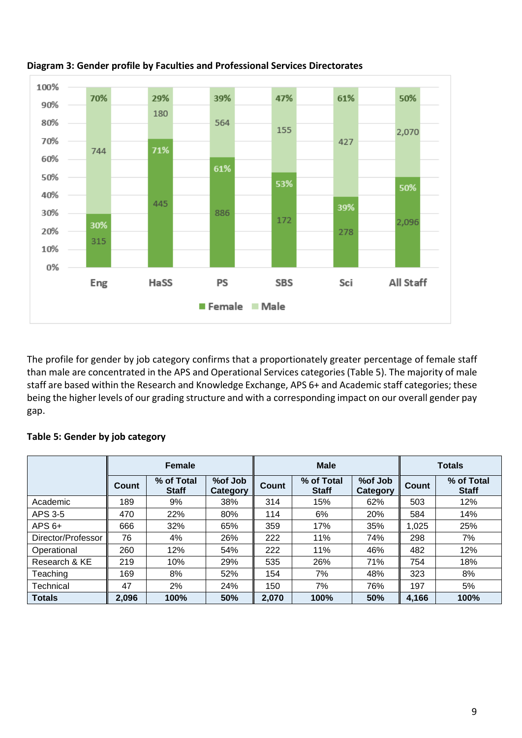

**Diagram 3: Gender profile by Faculties and Professional Services Directorates**

The profile for gender by job category confirms that a proportionately greater percentage of female staff than male are concentrated in the APS and Operational Services categories(Table 5). The majority of male staff are based within the Research and Knowledge Exchange, APS 6+ and Academic staff categories; these being the higher levels of our grading structure and with a corresponding impact on our overall gender pay gap.

### **Table 5: Gender by job category**

<span id="page-8-0"></span>

|                    |              | <b>Female</b>              |                     |       | <b>Male</b>                |                            | <b>Totals</b> |                            |  |
|--------------------|--------------|----------------------------|---------------------|-------|----------------------------|----------------------------|---------------|----------------------------|--|
|                    | <b>Count</b> | % of Total<br><b>Staff</b> | %of Job<br>Category | Count | % of Total<br><b>Staff</b> | %of Job<br><b>Category</b> | <b>Count</b>  | % of Total<br><b>Staff</b> |  |
| Academic           | 189          | 9%                         | 38%                 | 314   | 15%                        | 62%                        | 503           | 12%                        |  |
| APS 3-5            | 470          | 22%                        | 80%                 | 114   | 6%                         | <b>20%</b>                 | 584           | 14%                        |  |
| $APS 6+$           | 666          | 32%                        | 65%                 | 359   | 17%                        | 35%                        | 1,025         | 25%                        |  |
| Director/Professor | 76           | 4%                         | 26%                 | 222   | 11%                        | 74%                        | 298           | 7%                         |  |
| Operational        | 260          | 12%                        | 54%                 | 222   | 11%                        | 46%                        | 482           | 12%                        |  |
| Research & KE      | 219          | 10%                        | 29%                 | 535   | 26%                        | 71%                        | 754           | 18%                        |  |
| Teaching           | 169          | 8%                         | 52%                 | 154   | 7%                         | 48%                        | 323           | 8%                         |  |
| Technical          | 47           | 2%                         | 24%                 | 150   | 7%                         | 76%                        | 197           | 5%                         |  |
| <b>Totals</b>      | 2,096        | 100%                       | 50%                 | 2.070 | 100%                       | 50%                        | 4,166         | 100%                       |  |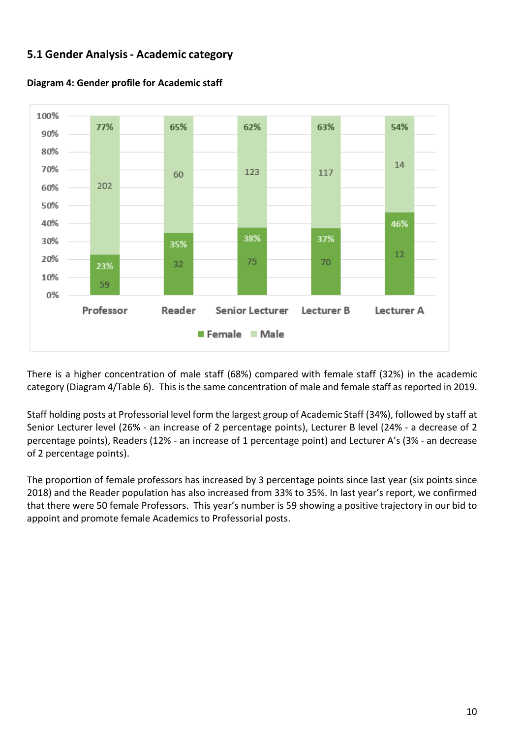# **5.1 Gender Analysis- Academic category**



**Diagram 4: Gender profile for Academic staff**

There is a higher concentration of male staff (68%) compared with female staff (32%) in the academic category (Diagram 4/Table 6). This is the same concentration of male and female staff as reported in 2019.

Staff holding posts at Professorial level form the largest group of Academic Staff (34%), followed by staff at Senior Lecturer level (26% - an increase of 2 percentage points), Lecturer B level (24% - a decrease of 2 percentage points), Readers (12% - an increase of 1 percentage point) and Lecturer A's (3% - an decrease of 2 percentage points).

The proportion of female professors has increased by 3 percentage points since last year (six points since 2018) and the Reader population has also increased from 33% to 35%. In last year's report, we confirmed that there were 50 female Professors. This year's number is 59 showing a positive trajectory in our bid to appoint and promote female Academics to Professorial posts.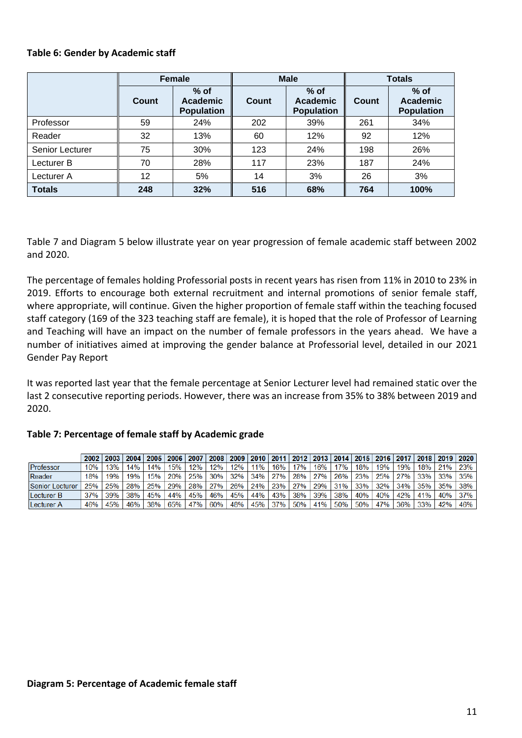#### **Table 6: Gender by Academic staff**

|                        |       | Female                                         |       | <b>Male</b>                             | <b>Totals</b> |                                                |  |
|------------------------|-------|------------------------------------------------|-------|-----------------------------------------|---------------|------------------------------------------------|--|
|                        | Count | $%$ of<br><b>Academic</b><br><b>Population</b> | Count | $%$ of<br>Academic<br><b>Population</b> | <b>Count</b>  | $%$ of<br><b>Academic</b><br><b>Population</b> |  |
| Professor              | 59    | 24%                                            | 202   | 39%                                     | 261           | 34%                                            |  |
| Reader                 | 32    | 13%                                            | 60    | 12%                                     | 92            | 12%                                            |  |
| <b>Senior Lecturer</b> | 75    | 30%                                            | 123   | 24%                                     | 198           | 26%                                            |  |
| Lecturer B             | 70    | 28%                                            | 117   | 23%                                     | 187           | 24%                                            |  |
| Lecturer A             | 12    | 5%                                             | 14    | 3%                                      | 26            | 3%                                             |  |
| <b>Totals</b>          | 248   | 32%                                            | 516   | 68%                                     | 764           | 100%                                           |  |

Table 7 and Diagram 5 below illustrate year on year progression of female academic staff between 2002 and 2020.

The percentage of females holding Professorial posts in recent years has risen from 11% in 2010 to 23% in 2019. Efforts to encourage both external recruitment and internal promotions of senior female staff, where appropriate, will continue. Given the higher proportion of female staff within the teaching focused staff category (169 of the 323 teaching staff are female), it is hoped that the role of Professor of Learning and Teaching will have an impact on the number of female professors in the years ahead. We have a number of initiatives aimed at improving the gender balance at Professorial level, detailed in our 2021 Gender Pay Report

It was reported last year that the female percentage at Senior Lecturer level had remained static over the last 2 consecutive reporting periods. However, there was an increase from 35% to 38% between 2019 and 2020.

|                 | 2002 | 2003 | 2004 |     | 2005 2006 | 2007 |     |     |     |       |         |         |            |     |     | │2008│2009│2010│2011│2012│2013│2014│2015│2016│2017│2018│2019│2020│ |     |     |     |
|-----------------|------|------|------|-----|-----------|------|-----|-----|-----|-------|---------|---------|------------|-----|-----|--------------------------------------------------------------------|-----|-----|-----|
| Professor       | 10%  | 13%  | 14%  | 14% | 15%       | 12%  | 12% | 12% | 11% | 16% i | 17%     | 16%     | <b>17%</b> | 18% | 19% | 19%                                                                | 18% | 21% | 23% |
| Reader          | 18%  | 19%  | 19%  | 15% | 20%       | 25%  | 30% | 32% | 34% | 27%   | 28% 27% |         | 26%        | 23% | 25% | 27%                                                                | 33% | 33% | 35% |
| Senior Lecturer | 25%  | 25%  | 28%  | 25% | 29%       | 28%  | 27% | 26% | 24% | 23%   | 27%     | 29%     | $31\%$     | 33% | 32% | 34%                                                                | 35% | 35% | 38% |
| Lecturer B      | 37%  | 39%  | 38%  | 45% | 44%       | 45%  | 46% | 45% | 44% | 43%   | 38%     | 39%     | 38%        | 40% | 40% | 42%                                                                | 41% | 40% | 37% |
| Lecturer A      | 46%  | 45%  | 46%  | 38% | 65%       | 47%  | 60% | 48% | 45% | 37%   |         | 50% 41% | 50%        | 50% | 47% | 36%                                                                | 33% | 42% | 46% |

#### **Table 7: Percentage of female staff by Academic grade**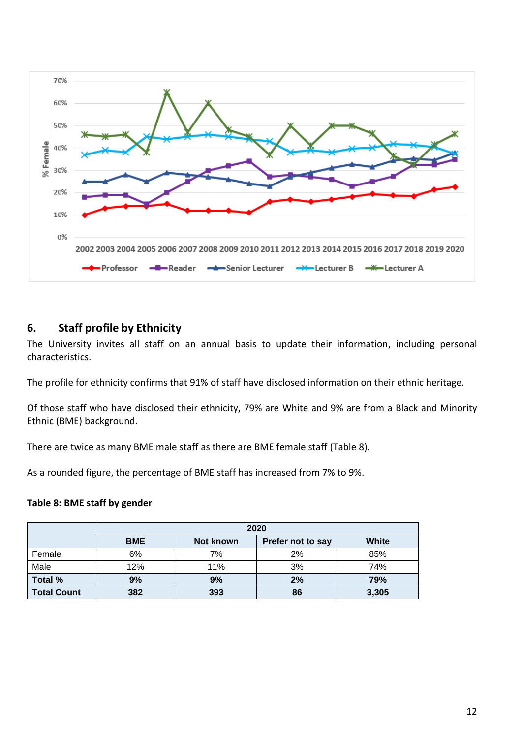<span id="page-11-0"></span>

### **6. Staff profile by Ethnicity**

The University invites all staff on an annual basis to update their information, including personal characteristics.

The profile for ethnicity confirms that 91% of staff have disclosed information on their ethnic heritage.

Of those staff who have disclosed their ethnicity, 79% are White and 9% are from a Black and Minority Ethnic (BME) background.

There are twice as many BME male staff as there are BME female staff (Table 8).

As a rounded figure, the percentage of BME staff has increased from 7% to 9%.

#### **Table 8: BME staff by gender**

|                    |            |           | 2020              |       |
|--------------------|------------|-----------|-------------------|-------|
|                    | <b>BME</b> | Not known | Prefer not to say | White |
| Female             | 6%         | 7%        | 2%                | 85%   |
| Male               | 12%        | 11%       | 3%                | 74%   |
| Total %            | 9%         | 9%        | 2%                | 79%   |
| <b>Total Count</b> | 382        | 393       | 86                | 3,305 |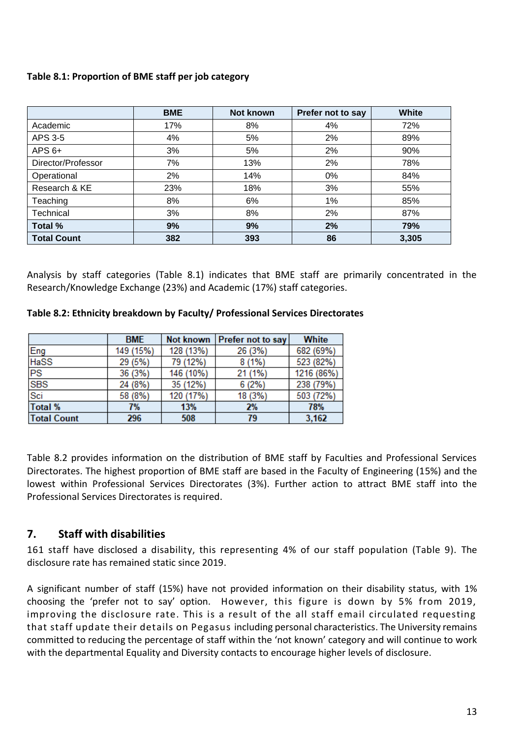### **Table 8.1: Proportion of BME staff per job category**

|                    | <b>BME</b> | <b>Not known</b> | Prefer not to say | <b>White</b> |
|--------------------|------------|------------------|-------------------|--------------|
| Academic           | 17%        | 8%               | 4%                | 72%          |
| APS 3-5            | 4%         | 5%               | 2%                | 89%          |
| $APS 6+$           | 3%         | 5%               | 2%                | 90%          |
| Director/Professor | 7%         | 13%              | 2%                | 78%          |
| Operational        | 2%         | 14%              | $0\%$             | 84%          |
| Research & KE      | 23%        | 18%              | 3%                | 55%          |
| Teaching           | 8%         | 6%               | 1%                | 85%          |
| Technical          | 3%         | 8%               | 2%                | 87%          |
| Total %            | 9%         | 9%               | 2%                | 79%          |
| <b>Total Count</b> | 382        | 393              | 86                | 3,305        |

Analysis by staff categories (Table 8.1) indicates that BME staff are primarily concentrated in the Research/Knowledge Exchange (23%) and Academic (17%) staff categories.

**Table 8.2: Ethnicity breakdown by Faculty/ Professional Services Directorates**

|                    | <b>BME</b> | Not known | Prefer not to say | White      |
|--------------------|------------|-----------|-------------------|------------|
| Eng                | 149 (15%)  | 128 (13%) | 26 (3%)           | 682 (69%)  |
| <b>HaSS</b>        | 29 (5%)    | 79 (12%)  | $8(1\%)$          | 523 (82%)  |
| PS                 | 36 (3%)    | 146 (10%) | 21 (1%)           | 1216 (86%) |
| <b>SBS</b>         | 24 (8%)    | 35 (12%)  | 6(2%)             | 238 (79%)  |
| Sci                | 58 (8%)    | 120 (17%) | 18 (3%)           | 503 (72%)  |
| Total %            | 7%         | 13%       | 2%                | 78%        |
| <b>Total Count</b> | 296        | 508       | 79                | 3,162      |

Table 8.2 provides information on the distribution of BME staff by Faculties and Professional Services Directorates. The highest proportion of BME staff are based in the Faculty of Engineering (15%) and the lowest within Professional Services Directorates (3%). Further action to attract BME staff into the Professional Services Directorates is required.

### <span id="page-12-0"></span>**7. Staff with disabilities**

161 staff have disclosed a disability, this representing 4% of our staff population (Table 9). The disclosure rate has remained static since 2019.

A significant number of staff (15%) have not provided information on their disability status, with 1% choosing the 'prefer not to say' option. However, this figure is down by 5% from 2019, improving the disclosure rate. This is a result of the all staff email circulated requesting that staff update their details on Pegasus including personal characteristics. The University remains committed to reducing the percentage of staff within the 'not known' category and will continue to work with the departmental Equality and Diversity contacts to encourage higher levels of disclosure.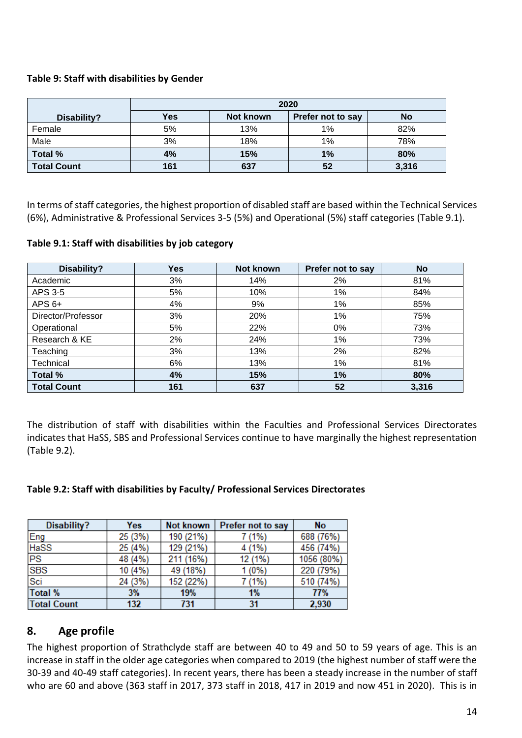### **Table 9: Staff with disabilities by Gender**

|                    | 2020 |           |                   |       |  |  |  |
|--------------------|------|-----------|-------------------|-------|--|--|--|
| Disability?        | Yes  | Not known | Prefer not to say | No    |  |  |  |
| Female             | 5%   | 13%       | $1\%$             | 82%   |  |  |  |
| Male               | 3%   | 18%       | $1\%$             | 78%   |  |  |  |
| Total %            | 4%   | 15%       | 1%                | 80%   |  |  |  |
| <b>Total Count</b> | 161  | 637       | 52                | 3,316 |  |  |  |

In terms of staff categories, the highest proportion of disabled staff are based within the Technical Services (6%), Administrative & Professional Services 3-5 (5%) and Operational (5%) staff categories (Table 9.1).

### **Table 9.1: Staff with disabilities by job category**

| Disability?        | <b>Yes</b> | Not known | Prefer not to say | <b>No</b> |
|--------------------|------------|-----------|-------------------|-----------|
| Academic           | 3%         | 14%       | 2%                | 81%       |
| APS 3-5            | 5%         | 10%       | 1%                | 84%       |
| $APS 6+$           | 4%         | 9%        | 1%                | 85%       |
| Director/Professor | 3%         | 20%       | 1%                | 75%       |
| Operational        | 5%         | 22%       | $0\%$             | 73%       |
| Research & KE      | 2%         | 24%       | 1%                | 73%       |
| Teaching           | 3%         | 13%       | 2%                | 82%       |
| Technical          | 6%         | 13%       | 1%                | 81%       |
| <b>Total %</b>     | 4%         | 15%       | 1%                | 80%       |
| <b>Total Count</b> | 161        | 637       | 52                | 3,316     |

The distribution of staff with disabilities within the Faculties and Professional Services Directorates indicates that HaSS, SBS and Professional Services continue to have marginally the highest representation (Table 9.2).

### **Table 9.2: Staff with disabilities by Faculty/ Professional Services Directorates**

| Disability?        | Yes     | <b>Not known</b> | Prefer not to say | No         |
|--------------------|---------|------------------|-------------------|------------|
| Eng                | 25 (3%) | 190 (21%)        | 7 (1%)            | 688 (76%)  |
| <b>HaSS</b>        | 25 (4%) | 129 (21%)        | 4 (1%)            | 456 (74%)  |
| PS                 | 48 (4%) | 211 (16%)        | 12 (1%)           | 1056 (80%) |
| <b>SBS</b>         | 10 (4%) | 49 (18%)         | $1(0\%)$          | 220 (79%)  |
| Sci                | 24 (3%) | 152 (22%)        | 7 (1%)            | 510 (74%)  |
| Total %            | 3%      | 19%              | 1%                | 77%        |
| <b>Total Count</b> | 132     | 731              | 31                | 2,930      |

# <span id="page-13-0"></span>**8. Age profile**

The highest proportion of Strathclyde staff are between 40 to 49 and 50 to 59 years of age. This is an increase in staff in the older age categories when compared to 2019 (the highest number of staff were the 30-39 and 40-49 staff categories). In recent years, there has been a steady increase in the number of staff who are 60 and above (363 staff in 2017, 373 staff in 2018, 417 in 2019 and now 451 in 2020). This is in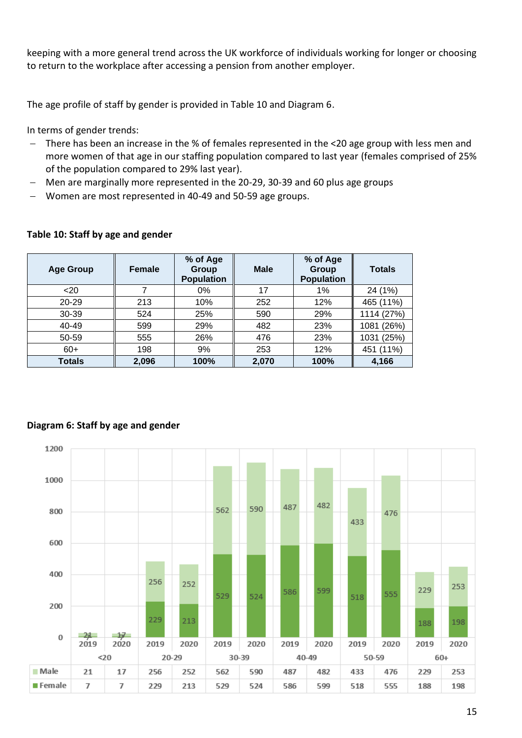keeping with a more general trend across the UK workforce of individuals working for longer or choosing to return to the workplace after accessing a pension from another employer.

The age profile of staff by gender is provided in Table 10 and Diagram 6.

In terms of gender trends:

- − There has been an increase in the % of females represented in the <20 age group with less men and more women of that age in our staffing population compared to last year (females comprised of 25% of the population compared to 29% last year).
- − Men are marginally more represented in the 20-29, 30-39 and 60 plus age groups
- − Women are most represented in 40-49 and 50-59 age groups.

| <b>Age Group</b> | <b>Female</b> | % of Age<br>Group<br><b>Population</b> | <b>Male</b> | % of Age<br>Group<br><b>Population</b> | <b>Totals</b>   |
|------------------|---------------|----------------------------------------|-------------|----------------------------------------|-----------------|
| $20$             |               | 0%                                     | 17          | 1%                                     | 24 (1%)         |
| 20-29            | 213           | 10%                                    | 252         | 12%                                    | 465 (11%)       |
| 30-39            | 524           | 25%                                    | 590         | 29%                                    | 1114 (27%)      |
| 40-49            | 599           | 29%                                    | 482         | 23%                                    | (26%)<br>1081   |
| 50-59            | 555           | 26%                                    | 476         | 23%                                    | (25%)<br>1031   |
| $60+$            | 198           | 9%                                     | 253         | 12%                                    | $(11\%)$<br>451 |
| <b>Totals</b>    | 2,096         | 100%                                   | 2,070       | 100%                                   | 4,166           |

### **Table 10: Staff by age and gender**



# **Diagram 6: Staff by age and gender**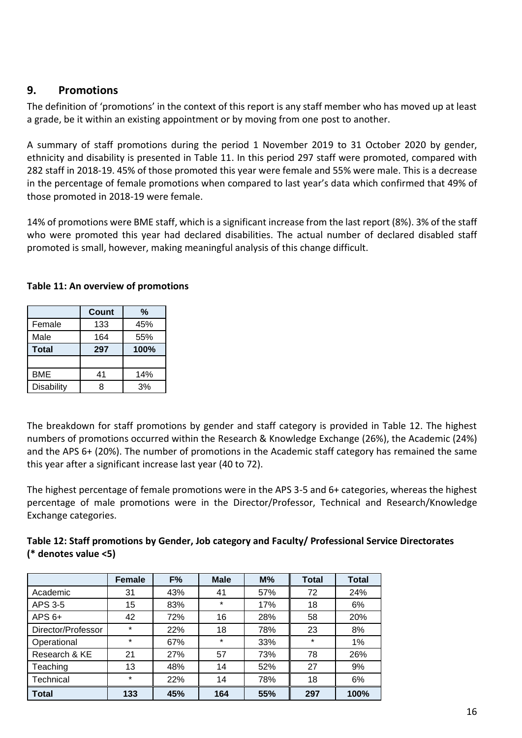### <span id="page-15-0"></span>**9. Promotions**

The definition of 'promotions' in the context of this report is any staff member who has moved up at least a grade, be it within an existing appointment or by moving from one post to another.

A summary of staff promotions during the period 1 November 2019 to 31 October 2020 by gender, ethnicity and disability is presented in Table 11. In this period 297 staff were promoted, compared with 282 staff in 2018-19. 45% of those promoted this year were female and 55% were male. This is a decrease in the percentage of female promotions when compared to last year's data which confirmed that 49% of those promoted in 2018-19 were female.

14% of promotions were BME staff, which is a significant increase from the last report (8%). 3% of the staff who were promoted this year had declared disabilities. The actual number of declared disabled staff promoted is small, however, making meaningful analysis of this change difficult.

|              | <b>Count</b> | %    |
|--------------|--------------|------|
| Female       | 133          | 45%  |
| Male         | 164          | 55%  |
| <b>Total</b> | 297          | 100% |
|              |              |      |
| <b>BME</b>   | 41           | 14%  |
| Disability   |              | 3%   |

### **Table 11: An overview of promotions**

The breakdown for staff promotions by gender and staff category is provided in Table 12. The highest numbers of promotions occurred within the Research & Knowledge Exchange (26%), the Academic (24%) and the APS 6+ (20%). The number of promotions in the Academic staff category has remained the same this year after a significant increase last year (40 to 72).

The highest percentage of female promotions were in the APS 3-5 and 6+ categories, whereas the highest percentage of male promotions were in the Director/Professor, Technical and Research/Knowledge Exchange categories.

| Table 12: Staff promotions by Gender, Job category and Faculty/ Professional Service Directorates |
|---------------------------------------------------------------------------------------------------|
| (* denotes value <5)                                                                              |

|                    | <b>Female</b> | F%  | <b>Male</b> | $M\%$ | <b>Total</b> | <b>Total</b> |
|--------------------|---------------|-----|-------------|-------|--------------|--------------|
| Academic           | 31            | 43% | 41          | 57%   | 72           | 24%          |
| APS 3-5            | 15            | 83% | $\star$     | 17%   | 18           | 6%           |
| $APS 6+$           | 42            | 72% | 16          | 28%   | 58           | 20%          |
| Director/Professor | $\star$       | 22% | 18          | 78%   | 23           | 8%           |
| Operational        | $\star$       | 67% | $\star$     | 33%   | $\star$      | 1%           |
| Research & KE      | 21            | 27% | 57          | 73%   | 78           | 26%          |
| Teaching           | 13            | 48% | 14          | 52%   | 27           | 9%           |
| Technical          | $\star$       | 22% | 14          | 78%   | 18           | 6%           |
| <b>Total</b>       | 133           | 45% | 164         | 55%   | 297          | 100%         |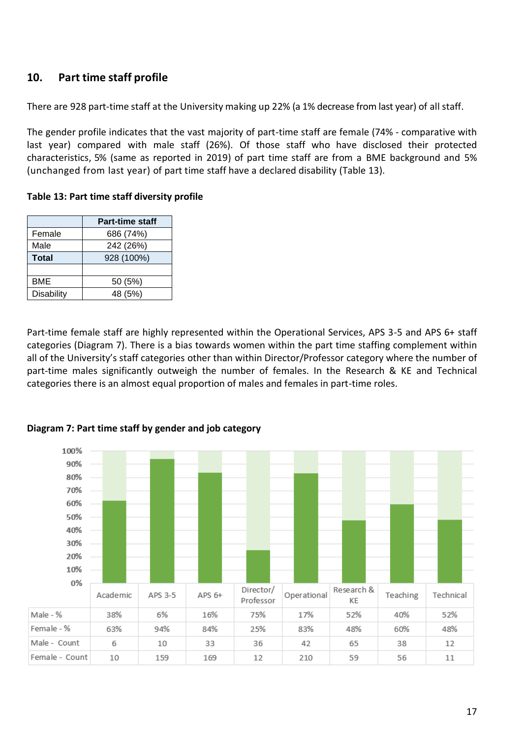# <span id="page-16-0"></span>**10. Part time staff profile**

There are 928 part-time staff at the University making up 22% (a 1% decrease from last year) of all staff.

The gender profile indicates that the vast majority of part-time staff are female (74% - comparative with last year) compared with male staff (26%). Of those staff who have disclosed their protected characteristics, 5% (same as reported in 2019) of part time staff are from a BME background and 5% (unchanged from last year) of part time staff have a declared disability (Table 13).

**Table 13: Part time staff diversity profile**

|              | <b>Part-time staff</b> |
|--------------|------------------------|
| Female       | 686 (74%)              |
| Male         | 242 (26%)              |
| <b>Total</b> | 928 (100%)             |
|              |                        |
| BME          | 50 (5%)                |
| Disability   | 48 (5%)                |

Part-time female staff are highly represented within the Operational Services, APS 3-5 and APS 6+ staff categories (Diagram 7). There is a bias towards women within the part time staffing complement within all of the University's staff categories other than within Director/Professor category where the number of part-time males significantly outweigh the number of females. In the Research & KE and Technical categories there is an almost equal proportion of males and females in part-time roles.



**Diagram 7: Part time staff by gender and job category**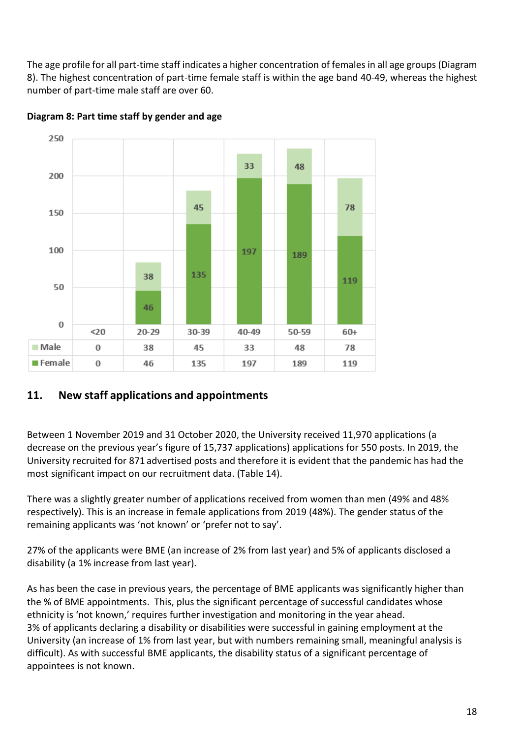The age profile for all part-time staff indicates a higher concentration of females in all age groups (Diagram 8). The highest concentration of part-time female staff is within the age band 40-49, whereas the highest number of part-time male staff are over 60.



**Diagram 8: Part time staff by gender and age**

# <span id="page-17-0"></span>**11. New staff applications and appointments**

Between 1 November 2019 and 31 October 2020, the University received 11,970 applications (a decrease on the previous year's figure of 15,737 applications) applications for 550 posts. In 2019, the University recruited for 871 advertised posts and therefore it is evident that the pandemic has had the most significant impact on our recruitment data. (Table 14).

There was a slightly greater number of applications received from women than men (49% and 48% respectively). This is an increase in female applications from 2019 (48%). The gender status of the remaining applicants was 'not known' or 'prefer not to say'.

27% of the applicants were BME (an increase of 2% from last year) and 5% of applicants disclosed a disability (a 1% increase from last year).

As has been the case in previous years, the percentage of BME applicants was significantly higher than the % of BME appointments. This, plus the significant percentage of successful candidates whose ethnicity is 'not known,' requires further investigation and monitoring in the year ahead. 3% of applicants declaring a disability or disabilities were successful in gaining employment at the University (an increase of 1% from last year, but with numbers remaining small, meaningful analysis is difficult). As with successful BME applicants, the disability status of a significant percentage of appointees is not known.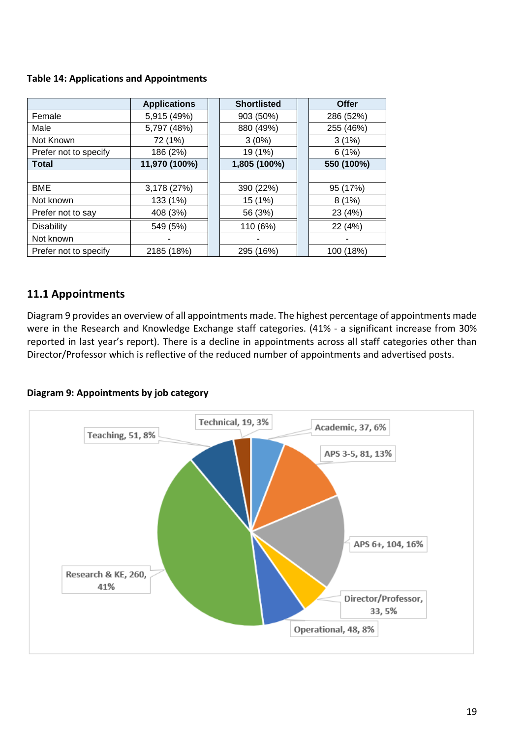### **Table 14: Applications and Appointments**

|                       | <b>Applications</b> | <b>Shortlisted</b> | Offer      |
|-----------------------|---------------------|--------------------|------------|
| Female                | 5,915 (49%)         | 903 (50%)          | 286 (52%)  |
| Male                  | 5,797 (48%)         | 880 (49%)          | 255 (46%)  |
| Not Known             | 72 (1%)             | 3(0%)              | 3(1%)      |
| Prefer not to specify | 186 (2%)            | 19 (1%)            | 6(1%)      |
| Total                 | 11,970 (100%)       | 1,805 (100%)       | 550 (100%) |
|                       |                     |                    |            |
| <b>BME</b>            | 3,178 (27%)         | 390 (22%)          | 95 (17%)   |
| Not known             | 133 (1%)            | 15 (1%)            | 8(1%)      |
| Prefer not to say     | 408 (3%)            | 56 (3%)            | 23 (4%)    |
| <b>Disability</b>     | 549 (5%)            | 110 (6%)           | 22 (4%)    |
| Not known             |                     |                    |            |
| Prefer not to specify | 2185 (18%)          | 295 (16%)          | 100 (18%)  |

# <span id="page-18-0"></span>**11.1 Appointments**

Diagram 9 provides an overview of all appointments made. The highest percentage of appointments made were in the Research and Knowledge Exchange staff categories. (41% - a significant increase from 30% reported in last year's report). There is a decline in appointments across all staff categories other than Director/Professor which is reflective of the reduced number of appointments and advertised posts.

#### **Diagram 9: Appointments by job category**

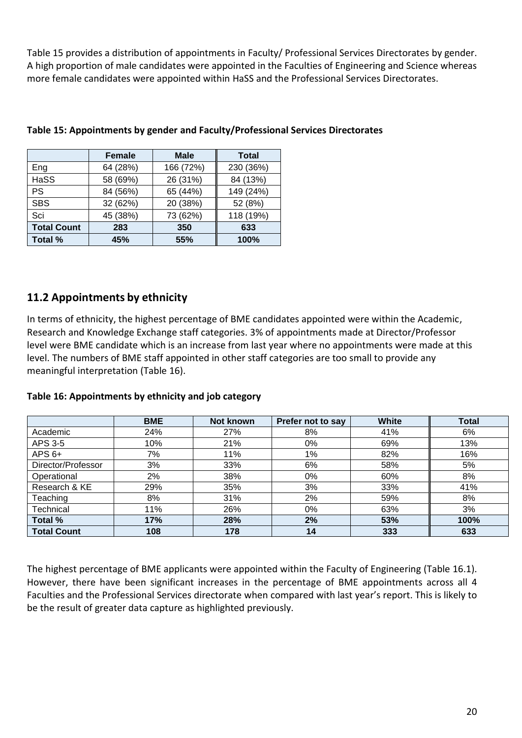Table 15 provides a distribution of appointments in Faculty/ Professional Services Directorates by gender. A high proportion of male candidates were appointed in the Faculties of Engineering and Science whereas more female candidates were appointed within HaSS and the Professional Services Directorates.

|                    | <b>Female</b> | <b>Male</b> | <b>Total</b> |
|--------------------|---------------|-------------|--------------|
| Eng                | 64 (28%)      | 166 (72%)   | 230 (36%)    |
| HaSS               | 58 (69%)      | 26 (31%)    | 84 (13%)     |
| PS.                | 84 (56%)      | 65 (44%)    | 149 (24%)    |
| <b>SBS</b>         | 32 (62%)      | 20 (38%)    | 52 (8%)      |
| Sci                | 45 (38%)      | 73 (62%)    | 118 (19%)    |
| <b>Total Count</b> | 283           | 350         | 633          |
| Total %            | 45%           | 55%         | 100%         |

#### **Table 15: Appointments by gender and Faculty/Professional Services Directorates**

# <span id="page-19-0"></span>**11.2 Appointments by ethnicity**

In terms of ethnicity, the highest percentage of BME candidates appointed were within the Academic, Research and Knowledge Exchange staff categories. 3% of appointments made at Director/Professor level were BME candidate which is an increase from last year where no appointments were made at this level. The numbers of BME staff appointed in other staff categories are too small to provide any meaningful interpretation (Table 16).

|                    | <b>BME</b> | Not known | Prefer not to say | White | <b>Total</b> |
|--------------------|------------|-----------|-------------------|-------|--------------|
| Academic           | 24%        | 27%       | 8%                | 41%   | 6%           |
| APS 3-5            | 10%        | 21%       | 0%                | 69%   | 13%          |
| $APS 6+$           | 7%         | 11%       | $1\%$             | 82%   | 16%          |
| Director/Professor | 3%         | 33%       | 6%                | 58%   | 5%           |
| Operational        | 2%         | 38%       | 0%                | 60%   | 8%           |
| Research & KE      | 29%        | 35%       | 3%                | 33%   | 41%          |
| Teaching           | 8%         | 31%       | 2%                | 59%   | 8%           |
| Technical          | 11%        | 26%       | 0%                | 63%   | 3%           |
| Total %            | 17%        | 28%       | 2%                | 53%   | 100%         |
| <b>Total Count</b> | 108        | 178       | 14                | 333   | 633          |

#### **Table 16: Appointments by ethnicity and job category**

The highest percentage of BME applicants were appointed within the Faculty of Engineering (Table 16.1). However, there have been significant increases in the percentage of BME appointments across all 4 Faculties and the Professional Services directorate when compared with last year's report. This is likely to be the result of greater data capture as highlighted previously.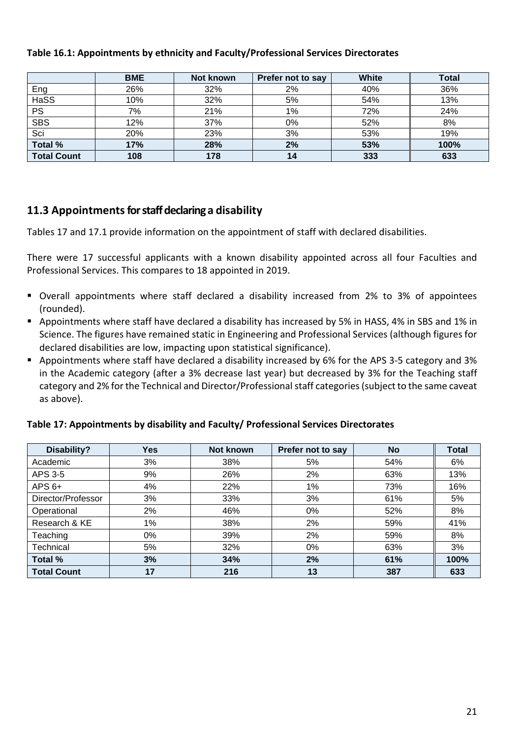|                    | <b>BME</b> | Not known | Prefer not to say | White | <b>Total</b> |
|--------------------|------------|-----------|-------------------|-------|--------------|
| Eng                | 26%        | 32%       | 2%                | 40%   | 36%          |
| <b>HaSS</b>        | 10%        | 32%       | 5%                | 54%   | 13%          |
| <b>PS</b>          | 7%         | 21%       | 1%                | 72%   | 24%          |
| <b>SBS</b>         | 12%        | 37%       | 0%                | 52%   | 8%           |
| Sci                | 20%        | 23%       | 3%                | 53%   | 19%          |
| Total $%$          | 17%        | 28%       | 2%                | 53%   | 100%         |
| <b>Total Count</b> | 108        | 178       | 14                | 333   | 633          |

### **Table 16.1: Appointments by ethnicity and Faculty/Professional Services Directorates**

### <span id="page-20-0"></span>**11.3 Appointmentsfor staff declaring a disability**

Tables 17 and 17.1 provide information on the appointment of staff with declared disabilities.

There were 17 successful applicants with a known disability appointed across all four Faculties and Professional Services. This compares to 18 appointed in 2019.

- Overall appointments where staff declared a disability increased from 2% to 3% of appointees (rounded).
- Appointments where staff have declared a disability has increased by 5% in HASS, 4% in SBS and 1% in Science. The figures have remained static in Engineering and Professional Services (although figures for declared disabilities are low, impacting upon statistical significance).
- Appointments where staff have declared a disability increased by 6% for the APS 3-5 category and 3% in the Academic category (after a 3% decrease last year) but decreased by 3% for the Teaching staff category and 2% for the Technical and Director/Professional staff categories(subject to the same caveat as above).

| Disability?        | <b>Yes</b> | Not known | Prefer not to say | <b>No</b> | <b>Total</b> |
|--------------------|------------|-----------|-------------------|-----------|--------------|
| Academic           | 3%         | 38%       | 5%                | 54%       | 6%           |
| APS 3-5            | 9%         | 26%       | 2%                | 63%       | 13%          |
| $APS 6+$           | 4%         | 22%       | 1%                | 73%       | 16%          |
| Director/Professor | 3%         | 33%       | 3%                | 61%       | 5%           |
| Operational        | 2%         | 46%       | $0\%$             | 52%       | 8%           |
| Research & KE      | $1\%$      | 38%       | 2%                | 59%       | 41%          |
| Teaching           | 0%         | 39%       | 2%                | 59%       | 8%           |
| Technical          | 5%         | 32%       | $0\%$             | 63%       | 3%           |
| Total %            | 3%         | 34%       | 2%                | 61%       | 100%         |
| <b>Total Count</b> | 17         | 216       | 13                | 387       | 633          |

#### **Table 17: Appointments by disability and Faculty/ Professional Services Directorates**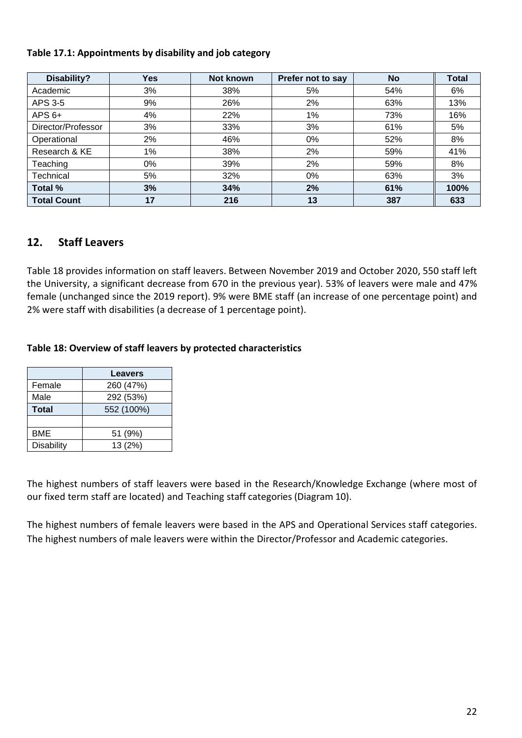### **Table 17.1: Appointments by disability and job category**

| Disability?        | <b>Yes</b> | Not known | Prefer not to say | <b>No</b> | <b>Total</b> |
|--------------------|------------|-----------|-------------------|-----------|--------------|
| Academic           | 3%         | 38%       | 5%                | 54%       | 6%           |
| APS 3-5            | 9%         | 26%       | 2%                | 63%       | 13%          |
| $APS 6+$           | 4%         | 22%       | $1\%$             | 73%       | 16%          |
| Director/Professor | 3%         | 33%       | 3%                | 61%       | 5%           |
| Operational        | 2%         | 46%       | 0%                | 52%       | 8%           |
| Research & KE      | $1\%$      | 38%       | 2%                | 59%       | 41%          |
| Teaching           | 0%         | 39%       | 2%                | 59%       | 8%           |
| Technical          | 5%         | 32%       | 0%                | 63%       | 3%           |
| Total %            | 3%         | 34%       | 2%                | 61%       | 100%         |
| <b>Total Count</b> | 17         | 216       | 13                | 387       | 633          |

### **12. Staff Leavers**

Table 18 provides information on staff leavers. Between November 2019 and October 2020, 550 staff left the University, a significant decrease from 670 in the previous year). 53% of leavers were male and 47% female (unchanged since the 2019 report). 9% were BME staff (an increase of one percentage point) and 2% were staff with disabilities (a decrease of 1 percentage point).

### **Table 18: Overview of staff leavers by protected characteristics**

|                   | <b>Leavers</b> |
|-------------------|----------------|
| Female            | 260 (47%)      |
| Male              | 292 (53%)      |
| <b>Total</b>      | 552 (100%)     |
|                   |                |
| BME               | 51 (9%)        |
| <b>Disability</b> | 13 (2%)        |

The highest numbers of staff leavers were based in the Research/Knowledge Exchange (where most of our fixed term staff are located) and Teaching staff categories (Diagram 10).

The highest numbers of female leavers were based in the APS and Operational Services staff categories. The highest numbers of male leavers were within the Director/Professor and Academic categories.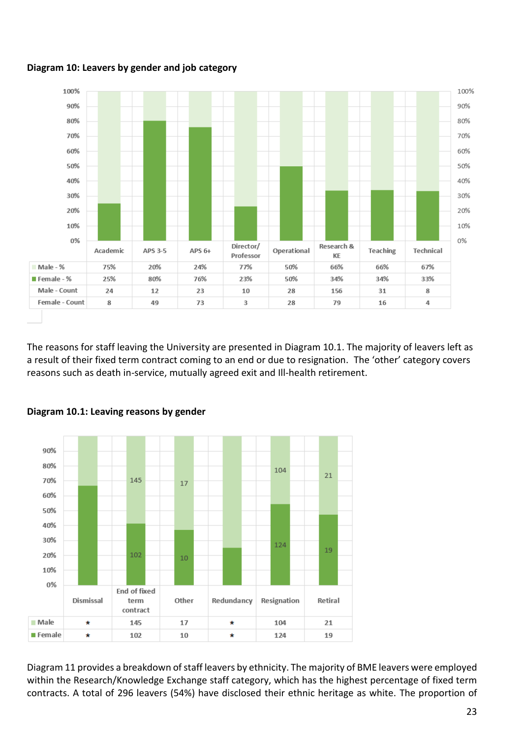

# **Diagram 10: Leavers by gender and job category**

The reasons for staff leaving the University are presented in Diagram 10.1. The majority of leavers left as a result of their fixed term contract coming to an end or due to resignation. The 'other' category covers reasons such as death in-service, mutually agreed exit and Ill-health retirement.



### **Diagram 10.1: Leaving reasons by gender**

Diagram 11 provides a breakdown of staff leavers by ethnicity. The majority of BME leavers were employed within the Research/Knowledge Exchange staff category, which has the highest percentage of fixed term contracts. A total of 296 leavers (54%) have disclosed their ethnic heritage as white. The proportion of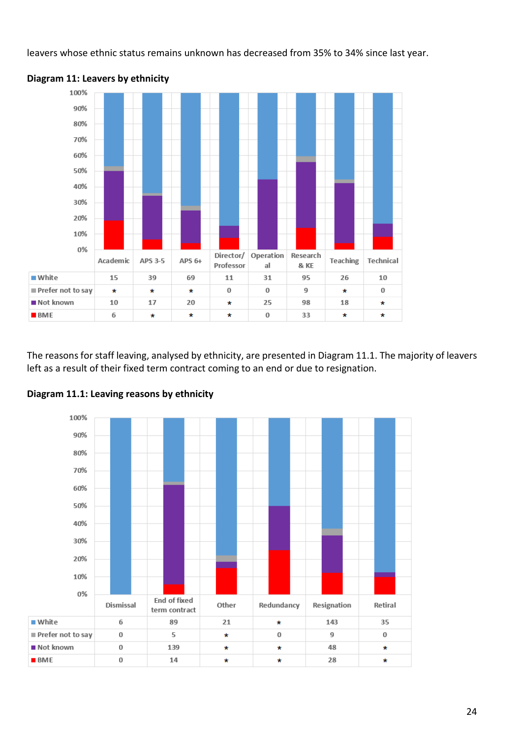leavers whose ethnic status remains unknown has decreased from 35% to 34% since last year.



#### **Diagram 11: Leavers by ethnicity**

The reasons for staff leaving, analysed by ethnicity, are presented in Diagram 11.1. The majority of leavers left as a result of their fixed term contract coming to an end or due to resignation.



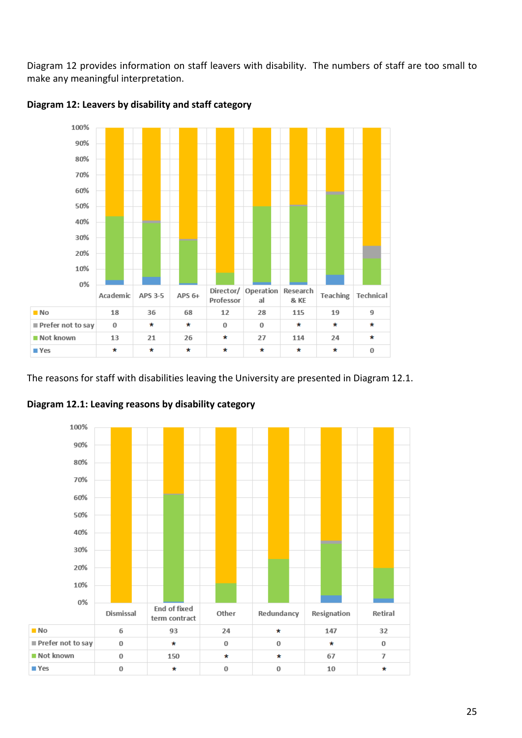Diagram 12 provides information on staff leavers with disability. The numbers of staff are too small to make any meaningful interpretation.



**Diagram 12: Leavers by disability and staff category**

The reasons for staff with disabilities leaving the University are presented in Diagram 12.1.



**Diagram 12.1: Leaving reasons by disability category**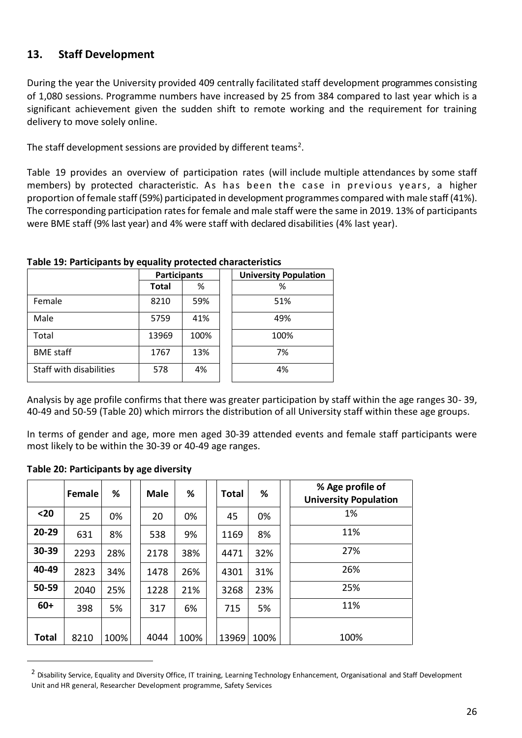# <span id="page-25-0"></span>**13. Staff Development**

During the year the University provided 409 centrally facilitated staff development programmes consisting of 1,080 sessions. Programme numbers have increased by 25 from 384 compared to last year which is a significant achievement given the sudden shift to remote working and the requirement for training delivery to move solely online.

The staff development sessions are provided by different teams<sup>2</sup>.

Table 19 provides an overview of participation rates (will include multiple attendances by some staff members) by protected characteristic. As has been the case in previous years, a higher proportion of female staff (59%) participated in development programmes compared with male staff (41%). The corresponding participation rates for female and male staff were the same in 2019. 13% of participants were BME staff (9% last year) and 4% were staff with declared disabilities (4% last year).

| $\sim$ 2001 $\sim$ 2001 $\sim$ 2010 $\sim$ 2001 $\sim$ 2001 $\sim$ 2001 $\sim$ 2001 $\sim$ 2001 $\sim$ 2001 $\sim$ 2001 $\sim$ 2001 $\sim$ 2001 $\sim$ 2001 $\sim$ 2001 $\sim$ 2001 $\sim$ 2001 $\sim$ 2001 $\sim$ 2001 $\sim$ 2001 $\sim$ 2001 $\sim$ 2001 $\sim$ 2001 |                     |      |                              |  |  |  |
|-------------------------------------------------------------------------------------------------------------------------------------------------------------------------------------------------------------------------------------------------------------------------|---------------------|------|------------------------------|--|--|--|
|                                                                                                                                                                                                                                                                         | <b>Participants</b> |      | <b>University Population</b> |  |  |  |
|                                                                                                                                                                                                                                                                         | <b>Total</b>        | %    | %                            |  |  |  |
| Female                                                                                                                                                                                                                                                                  | 8210                | 59%  | 51%                          |  |  |  |
| Male                                                                                                                                                                                                                                                                    | 5759                | 41%  | 49%                          |  |  |  |
| Total                                                                                                                                                                                                                                                                   | 13969               | 100% | 100%                         |  |  |  |
| <b>BME</b> staff                                                                                                                                                                                                                                                        | 1767                | 13%  | 7%                           |  |  |  |
| Staff with disabilities                                                                                                                                                                                                                                                 | 578                 | 4%   | 4%                           |  |  |  |

#### **Table 19: Participants by equality protected characteristics**

Analysis by age profile confirms that there was greater participation by staff within the age ranges 30- 39, 40-49 and 50-59 (Table 20) which mirrors the distribution of all University staff within these age groups.

In terms of gender and age, more men aged 30-39 attended events and female staff participants were most likely to be within the 30-39 or 40-49 age ranges.

#### **Table 20: Participants by age diversity**

|       | Female | %    | <b>Male</b> | %    | Total | %    | % Age profile of<br><b>University Population</b> |
|-------|--------|------|-------------|------|-------|------|--------------------------------------------------|
| $20$  | 25     | 0%   | 20          | 0%   | 45    | 0%   | 1%                                               |
| 20-29 | 631    | 8%   | 538         | 9%   | 1169  | 8%   | 11%                                              |
| 30-39 | 2293   | 28%  | 2178        | 38%  | 4471  | 32%  | 27%                                              |
| 40-49 | 2823   | 34%  | 1478        | 26%  | 4301  | 31%  | 26%                                              |
| 50-59 | 2040   | 25%  | 1228        | 21%  | 3268  | 23%  | 25%                                              |
| $60+$ | 398    | 5%   | 317         | 6%   | 715   | 5%   | 11%                                              |
|       |        |      |             |      |       |      |                                                  |
| Total | 8210   | 100% | 4044        | 100% | 13969 | 100% | 100%                                             |

<sup>&</sup>lt;sup>2</sup> Disability Service, Equality and Diversity Office, IT training, Learning Technology Enhancement, Organisational and Staff Development Unit and HR general, Researcher Development programme, Safety Services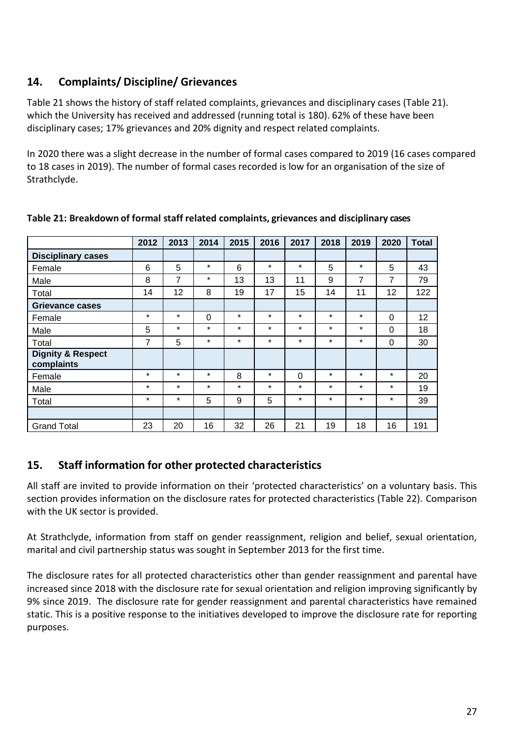# <span id="page-26-0"></span>**14. Complaints/ Discipline/ Grievances**

Table 21 shows the history of staff related complaints, grievances and disciplinary cases (Table 21). which the University has received and addressed (running total is 180). 62% of these have been disciplinary cases; 17% grievances and 20% dignity and respect related complaints.

In 2020 there was a slight decrease in the number of formal cases compared to 2019 (16 cases compared to 18 cases in 2019). The number of formal cases recorded is low for an organisation of the size of Strathclyde.

<span id="page-26-1"></span>

|                                            | 2012    | 2013    | 2014    | 2015    | 2016    | 2017     | 2018    | 2019    | 2020     | <b>Total</b> |
|--------------------------------------------|---------|---------|---------|---------|---------|----------|---------|---------|----------|--------------|
| <b>Disciplinary cases</b>                  |         |         |         |         |         |          |         |         |          |              |
| Female                                     | 6       | 5       | $\star$ | 6       | $\star$ | $\star$  | 5       | $\star$ | 5        | 43           |
| Male                                       | 8       | 7       | $\star$ | 13      | 13      | 11       | 9       | 7       | 7        | 79           |
| Total                                      | 14      | 12      | 8       | 19      | 17      | 15       | 14      | 11      | 12       | 122          |
| Grievance cases                            |         |         |         |         |         |          |         |         |          |              |
| Female                                     | $\star$ | $\star$ | 0       | $\star$ | $\star$ | $\star$  | $\star$ | $\star$ | 0        | 12           |
| Male                                       | 5       | $\star$ | $\star$ | $\star$ | $\star$ | $\star$  | $\star$ | $\star$ | $\Omega$ | 18           |
| Total                                      | 7       | 5       | $\star$ | $\star$ | $\star$ | $\star$  | $\star$ | $\star$ | 0        | 30           |
| <b>Dignity &amp; Respect</b><br>complaints |         |         |         |         |         |          |         |         |          |              |
| Female                                     | $\star$ | $\star$ | $\ast$  | 8       | $\star$ | $\Omega$ | $\star$ | $\ast$  | $\star$  | 20           |
| Male                                       | $\star$ | $\star$ | $\star$ | $\star$ | $\star$ | $\star$  | $\star$ | $\star$ | $\star$  | 19           |
| Total                                      | $\star$ | $\star$ | 5       | 9       | 5       | $\star$  | $\star$ | $\star$ | $\star$  | 39           |
|                                            |         |         |         |         |         |          |         |         |          |              |
| <b>Grand Total</b>                         | 23      | 20      | 16      | 32      | 26      | 21       | 19      | 18      | 16       | 191          |

**Table 21: Breakdown of formal staff related complaints, grievances and disciplinary cases**

# **15. Staff information for other protected characteristics**

All staff are invited to provide information on their 'protected characteristics' on a voluntary basis. This section provides information on the disclosure rates for protected characteristics (Table 22). Comparison with the UK sector is provided.

At Strathclyde, information from staff on gender reassignment, religion and belief, sexual orientation, marital and civil partnership status was sought in September 2013 for the first time.

The disclosure rates for all protected characteristics other than gender reassignment and parental have increased since 2018 with the disclosure rate for sexual orientation and religion improving significantly by 9% since 2019. The disclosure rate for gender reassignment and parental characteristics have remained static. This is a positive response to the initiatives developed to improve the disclosure rate for reporting purposes.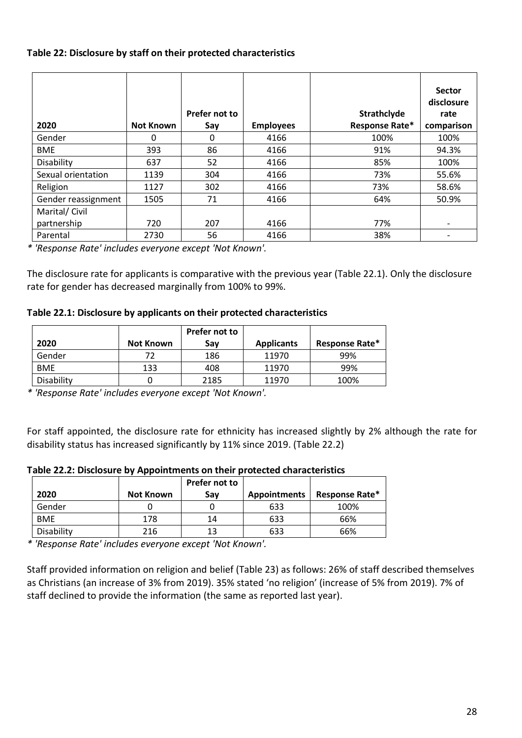#### **Table 22: Disclosure by staff on their protected characteristics**

| 2020                | <b>Not Known</b> | Prefer not to<br>Say | <b>Employees</b> | Strathclyde<br>Response Rate* | <b>Sector</b><br>disclosure<br>rate<br>comparison |
|---------------------|------------------|----------------------|------------------|-------------------------------|---------------------------------------------------|
| Gender              | 0                | 0                    | 4166             | 100%                          | 100%                                              |
| <b>BME</b>          | 393              | 86                   | 4166             | 91%                           | 94.3%                                             |
| Disability          | 637              | 52                   | 4166             | 85%                           | 100%                                              |
| Sexual orientation  | 1139             | 304                  | 4166             | 73%                           | 55.6%                                             |
| Religion            | 1127             | 302                  | 4166             | 73%                           | 58.6%                                             |
| Gender reassignment | 1505             | 71                   | 4166             | 64%                           | 50.9%                                             |
| Marital/ Civil      |                  |                      |                  |                               |                                                   |
| partnership         | 720              | 207                  | 4166             | 77%                           |                                                   |
| Parental            | 2730             | 56                   | 4166             | 38%                           |                                                   |

*\* 'Response Rate' includes everyone except 'Not Known'.* 

The disclosure rate for applicants is comparative with the previous year (Table 22.1). Only the disclosure rate for gender has decreased marginally from 100% to 99%.

#### **Table 22.1: Disclosure by applicants on their protected characteristics**

|            |           | Prefer not to |                   |                |
|------------|-----------|---------------|-------------------|----------------|
| 2020       | Not Known | Sav           | <b>Applicants</b> | Response Rate* |
| Gender     | 72        | 186           | 11970             | 99%            |
| <b>BME</b> | 133       | 408           | 11970             | 99%            |
| Disability |           | 2185          | 11970             | 100%           |

*\* 'Response Rate' includes everyone except 'Not Known'.* 

For staff appointed, the disclosure rate for ethnicity has increased slightly by 2% although the rate for disability status has increased significantly by 11% since 2019. (Table 22.2)

**Table 22.2: Disclosure by Appointments on their protected characteristics**

|            |           | Prefer not to |                     |                       |
|------------|-----------|---------------|---------------------|-----------------------|
| 2020       | Not Known | Sav           | <b>Appointments</b> | <b>Response Rate*</b> |
| Gender     |           |               | 633                 | 100%                  |
| <b>BME</b> | 178       | 14            | 633                 | 66%                   |
| Disability | 216       | 13            | 633                 | 66%                   |

*\* 'Response Rate' includes everyone except 'Not Known'.* 

Staff provided information on religion and belief (Table 23) as follows: 26% of staff described themselves as Christians (an increase of 3% from 2019). 35% stated 'no religion' (increase of 5% from 2019). 7% of staff declined to provide the information (the same as reported last year).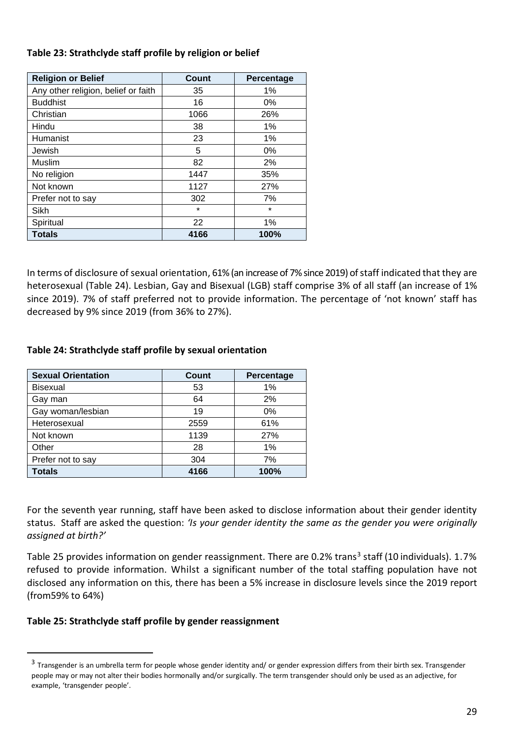#### **Table 23: Strathclyde staff profile by religion or belief**

| <b>Religion or Belief</b>           | Count   | Percentage |
|-------------------------------------|---------|------------|
| Any other religion, belief or faith | 35      | 1%         |
| <b>Buddhist</b>                     | 16      | 0%         |
| Christian                           | 1066    | 26%        |
| Hindu                               | 38      | 1%         |
| Humanist                            | 23      | 1%         |
| Jewish                              | 5       | 0%         |
| Muslim                              | 82      | 2%         |
| No religion                         | 1447    | 35%        |
| Not known                           | 1127    | 27%        |
| Prefer not to say                   | 302     | 7%         |
| Sikh                                | $\star$ | $\star$    |
| Spiritual                           | 22      | 1%         |
| <b>Totals</b>                       | 4166    | 100%       |

In terms of disclosure of sexual orientation, 61% (an increase of 7% since 2019) of staff indicated that they are heterosexual (Table 24). Lesbian, Gay and Bisexual (LGB) staff comprise 3% of all staff (an increase of 1% since 2019). 7% of staff preferred not to provide information. The percentage of 'not known' staff has decreased by 9% since 2019 (from 36% to 27%).

### **Table 24: Strathclyde staff profile by sexual orientation**

| <b>Sexual Orientation</b> | Count | Percentage |
|---------------------------|-------|------------|
| <b>Bisexual</b>           | 53    | 1%         |
| Gay man                   | 64    | 2%         |
| Gay woman/lesbian         | 19    | 0%         |
| Heterosexual              | 2559  | 61%        |
| Not known                 | 1139  | 27%        |
| Other                     | 28    | 1%         |
| Prefer not to say         | 304   | 7%         |
| <b>Totals</b>             | 4166  | 100%       |

For the seventh year running, staff have been asked to disclose information about their gender identity status. Staff are asked the question: *'Is your gender identity the same as the gender you were originally assigned at birth?'*

Table 25 provides information on gender reassignment. There are 0.2% trans<sup>3</sup> staff (10 individuals). 1.7% refused to provide information. Whilst a significant number of the total staffing population have not disclosed any information on this, there has been a 5% increase in disclosure levels since the 2019 report (from59% to 64%)

### **Table 25: Strathclyde staff profile by gender reassignment**

<sup>&</sup>lt;sup>3</sup> Transgender is an umbrella term for people whose gender identity and/ or gender expression differs from their birth sex. Transgender people may or may not alter their bodies hormonally and/or surgically. The term transgender should only be used as an adjective, for example, 'transgender people'.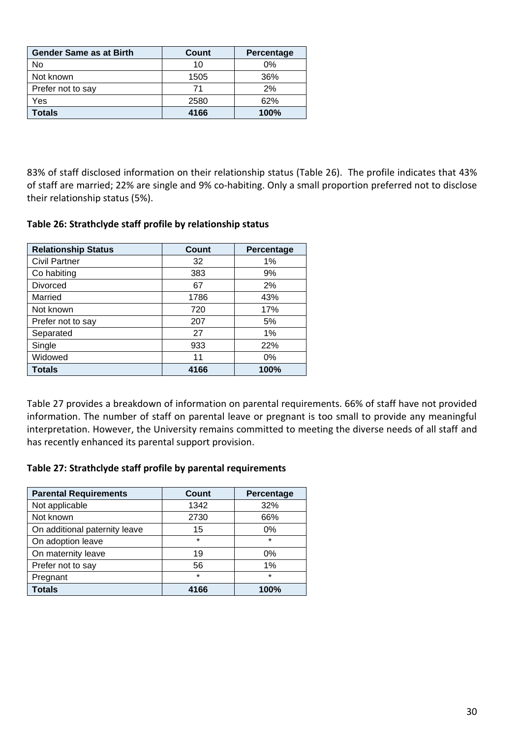| <b>Gender Same as at Birth</b> | Count | Percentage |
|--------------------------------|-------|------------|
| No                             | 10    | 0%         |
| Not known                      | 1505  | 36%        |
| Prefer not to say              |       | 2%         |
| Yes                            | 2580  | 62%        |
| <b>Totals</b>                  | 4166  | 100%       |

83% of staff disclosed information on their relationship status (Table 26). The profile indicates that 43% of staff are married; 22% are single and 9% co-habiting. Only a small proportion preferred not to disclose their relationship status (5%).

#### **Table 26: Strathclyde staff profile by relationship status**

| <b>Relationship Status</b> | <b>Count</b> | Percentage |
|----------------------------|--------------|------------|
| <b>Civil Partner</b>       | 32           | 1%         |
| Co habiting                | 383          | 9%         |
| <b>Divorced</b>            | 67           | 2%         |
| Married                    | 1786         | 43%        |
| Not known                  | 720          | 17%        |
| Prefer not to say          | 207          | 5%         |
| Separated                  | 27           | 1%         |
| Single                     | 933          | 22%        |
| Widowed                    | 11           | $0\%$      |
| <b>Totals</b>              | 4166         | 100%       |

Table 27 provides a breakdown of information on parental requirements. 66% of staff have not provided information. The number of staff on parental leave or pregnant is too small to provide any meaningful interpretation. However, the University remains committed to meeting the diverse needs of all staff and has recently enhanced its parental support provision.

### **Table 27: Strathclyde staff profile by parental requirements**

| <b>Parental Requirements</b>  | Count   | Percentage |
|-------------------------------|---------|------------|
| Not applicable                | 1342    | 32%        |
| Not known                     | 2730    | 66%        |
| On additional paternity leave | 15      | 0%         |
| On adoption leave             | $\star$ | $\star$    |
| On maternity leave            | 19      | 0%         |
| Prefer not to say             | 56      | 1%         |
| Pregnant                      | $\star$ | $\star$    |
| <b>Totals</b>                 | 4166    | 100%       |